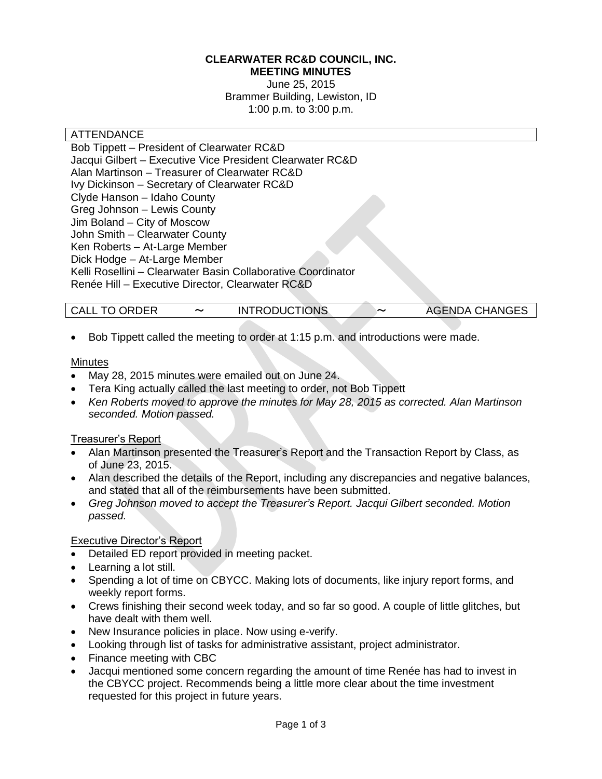#### **CLEARWATER RC&D COUNCIL, INC. MEETING MINUTES**

June 25, 2015 Brammer Building, Lewiston, ID 1:00 p.m. to 3:00 p.m.

#### ATTENDANCE

Bob Tippett – President of Clearwater RC&D Jacqui Gilbert – Executive Vice President Clearwater RC&D Alan Martinson – Treasurer of Clearwater RC&D Ivy Dickinson – Secretary of Clearwater RC&D Clyde Hanson – Idaho County Greg Johnson – Lewis County Jim Boland – City of Moscow John Smith – Clearwater County Ken Roberts – At-Large Member Dick Hodge – At-Large Member Kelli Rosellini – Clearwater Basin Collaborative Coordinator Renée Hill – Executive Director, Clearwater RC&D

| <b>CALL TO ORDER</b> | <b>INTRODUCTIONS</b> | 〜 | <b>AGENDA CHANGES</b> |
|----------------------|----------------------|---|-----------------------|

Bob Tippett called the meeting to order at 1:15 p.m. and introductions were made.

#### **Minutes**

- May 28, 2015 minutes were emailed out on June 24.
- Tera King actually called the last meeting to order, not Bob Tippett
- *Ken Roberts moved to approve the minutes for May 28, 2015 as corrected. Alan Martinson seconded. Motion passed.*

### Treasurer's Report

- Alan Martinson presented the Treasurer's Report and the Transaction Report by Class, as of June 23, 2015.
- Alan described the details of the Report, including any discrepancies and negative balances, and stated that all of the reimbursements have been submitted.
- *Greg Johnson moved to accept the Treasurer's Report. Jacqui Gilbert seconded. Motion passed.*

### Executive Director's Report

- Detailed ED report provided in meeting packet.
- Learning a lot still.
- Spending a lot of time on CBYCC. Making lots of documents, like injury report forms, and weekly report forms.
- Crews finishing their second week today, and so far so good. A couple of little glitches, but have dealt with them well.
- New Insurance policies in place. Now using e-verify.
- Looking through list of tasks for administrative assistant, project administrator.
- Finance meeting with CBC
- Jacqui mentioned some concern regarding the amount of time Renée has had to invest in the CBYCC project. Recommends being a little more clear about the time investment requested for this project in future years.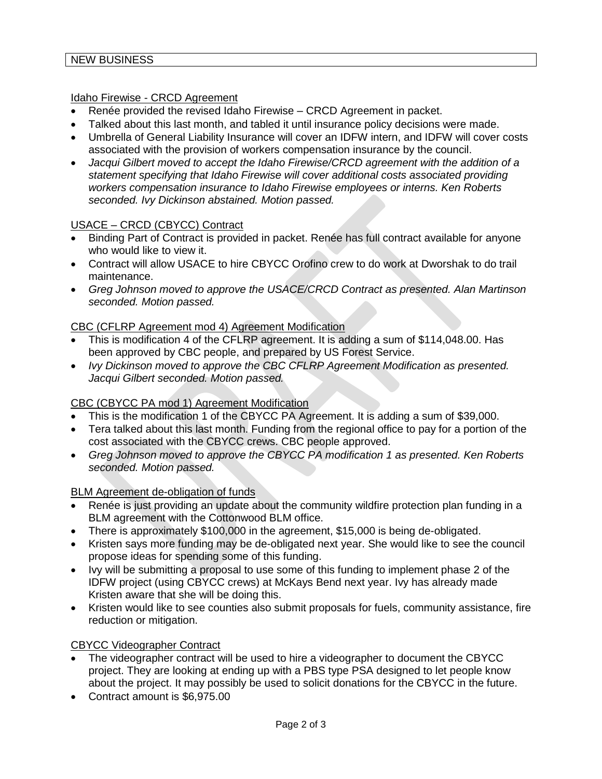#### Idaho Firewise - CRCD Agreement

- Renée provided the revised Idaho Firewise CRCD Agreement in packet.
- Talked about this last month, and tabled it until insurance policy decisions were made.
- Umbrella of General Liability Insurance will cover an IDFW intern, and IDFW will cover costs associated with the provision of workers compensation insurance by the council.
- *Jacqui Gilbert moved to accept the Idaho Firewise/CRCD agreement with the addition of a statement specifying that Idaho Firewise will cover additional costs associated providing workers compensation insurance to Idaho Firewise employees or interns. Ken Roberts seconded. Ivy Dickinson abstained. Motion passed.*

### USACE – CRCD (CBYCC) Contract

- Binding Part of Contract is provided in packet. Renée has full contract available for anyone who would like to view it.
- Contract will allow USACE to hire CBYCC Orofino crew to do work at Dworshak to do trail maintenance.
- *Greg Johnson moved to approve the USACE/CRCD Contract as presented. Alan Martinson seconded. Motion passed.*

### CBC (CFLRP Agreement mod 4) Agreement Modification

- This is modification 4 of the CFLRP agreement. It is adding a sum of \$114,048.00. Has been approved by CBC people, and prepared by US Forest Service.
- *Ivy Dickinson moved to approve the CBC CFLRP Agreement Modification as presented. Jacqui Gilbert seconded. Motion passed.*

## CBC (CBYCC PA mod 1) Agreement Modification

- This is the modification 1 of the CBYCC PA Agreement. It is adding a sum of \$39,000.
- Tera talked about this last month. Funding from the regional office to pay for a portion of the cost associated with the CBYCC crews. CBC people approved.
- *Greg Johnson moved to approve the CBYCC PA modification 1 as presented. Ken Roberts seconded. Motion passed.*

### BLM Agreement de-obligation of funds

- Renée is just providing an update about the community wildfire protection plan funding in a BLM agreement with the Cottonwood BLM office.
- There is approximately \$100,000 in the agreement, \$15,000 is being de-obligated.
- Kristen says more funding may be de-obligated next year. She would like to see the council propose ideas for spending some of this funding.
- Ivy will be submitting a proposal to use some of this funding to implement phase 2 of the IDFW project (using CBYCC crews) at McKays Bend next year. Ivy has already made Kristen aware that she will be doing this.
- Kristen would like to see counties also submit proposals for fuels, community assistance, fire reduction or mitigation.

### CBYCC Videographer Contract

- The videographer contract will be used to hire a videographer to document the CBYCC project. They are looking at ending up with a PBS type PSA designed to let people know about the project. It may possibly be used to solicit donations for the CBYCC in the future.
- Contract amount is \$6,975.00